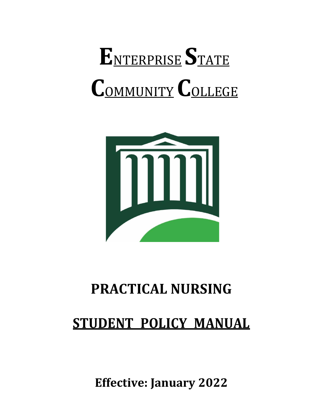# **E**NTERPRISE **S**TATE **C**OMMUNITY**C**OLLEGE



## **PRACTICAL NURSING**

### **STUDENT POLICY MANUAL**

**Effective: January 2022**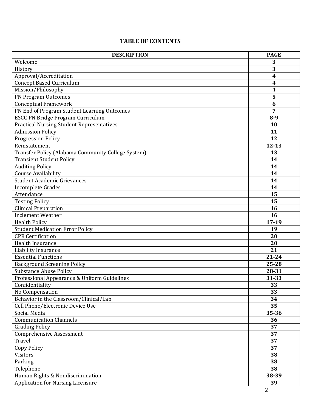#### **TABLE OF CONTENTS**

| <b>DESCRIPTION</b>                                 | <b>PAGE</b>             |
|----------------------------------------------------|-------------------------|
| Welcome                                            | 3                       |
| History                                            | 3                       |
| Approval/Accreditation                             | $\overline{\mathbf{4}}$ |
| <b>Concept Based Curriculum</b>                    | $\boldsymbol{4}$        |
| Mission/Philosophy                                 | 4                       |
| PN Program Outcomes                                | 5                       |
| <b>Conceptual Framework</b>                        | 6                       |
| PN End of Program Student Learning Outcomes        | 7                       |
| <b>ESCC PN Bridge Program Curriculum</b>           | $8-9$                   |
| <b>Practical Nursing Student Representatives</b>   | 10                      |
| <b>Admission Policy</b>                            | 11                      |
| <b>Progression Policy</b>                          | 12                      |
| Reinstatement                                      | $12 - 13$               |
| Transfer Policy (Alabama Community College System) | 13                      |
| <b>Transient Student Policy</b>                    | 14                      |
| <b>Auditing Policy</b>                             | 14                      |
| <b>Course Availability</b>                         | 14                      |
| <b>Student Academic Grievances</b>                 | 14                      |
| Incomplete Grades                                  | 14                      |
| Attendance                                         | 15                      |
| <b>Testing Policy</b>                              | 15                      |
| <b>Clinical Preparation</b>                        | 16                      |
| Inclement Weather                                  | 16                      |
| <b>Health Policy</b>                               | $17-19$                 |
| <b>Student Medication Error Policy</b>             | 19                      |
| <b>CPR Certification</b>                           | 20                      |
| Health Insurance                                   | 20                      |
| Liability Insurance                                | 21                      |
| <b>Essential Functions</b>                         | 21-24                   |
| <b>Background Screening Policy</b>                 | 25-28                   |
| <b>Substance Abuse Policy</b>                      | 28-31                   |
| Professional Appearance & Uniform Guidelines       | 31-33                   |
| Confidentiality                                    | 33                      |
| No Compensation                                    | 33                      |
| Behavior in the Classroom/Clinical/Lab             | 34                      |
| Cell Phone/Electronic Device Use                   | 35                      |
| Social Media                                       | 35-36                   |
| <b>Communication Channels</b>                      | 36                      |
| <b>Grading Policy</b>                              | 37                      |
| <b>Comprehensive Assessment</b>                    | 37                      |
| Travel                                             | 37                      |
| Copy Policy                                        | 37                      |
| Visitors                                           | 38                      |
| Parking                                            | 38                      |
| Telephone                                          | 38                      |
| Human Rights & Nondiscrimination                   | 38-39                   |
| <b>Application for Nursing Licensure</b>           | 39                      |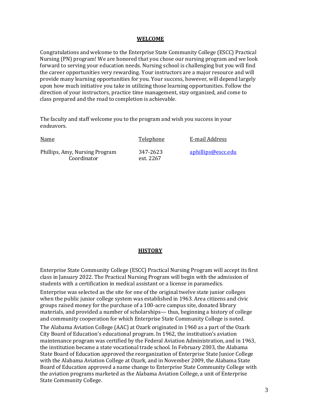#### **WELCOME**

Congratulations and welcome to the Enterprise State Community College (ESCC) Practical Nursing (PN) program! We are honored that you chose our nursing program and we look forward to serving your education needs. Nursing school is challenging but you will find the career opportunities very rewarding. Your instructors are a major resource and will provide many learning opportunities for you. Your success, however, will depend largely upon how much initiative you take in utilizing those learning opportunities. Follow the direction of your instructors, practice time management, stay organized, and come to class prepared and the road to completion is achievable.

The faculty and staff welcome you to the program and wish you success in your endeavors.

| <b>Name</b>                                   | Telephone             | E-mail Address     |
|-----------------------------------------------|-----------------------|--------------------|
| Phillips, Amy, Nursing Program<br>Coordinator | 347-2623<br>ext. 2267 | aphillips@escc.edu |

#### **HISTORY**

Enterprise State Community College (ESCC) Practical Nursing Program will accept its first class in January 2022. The Practical Nursing Program will begin with the admission of students with a certification in medical assistant or a license in paramedics.

Enterprise was selected as the site for one of the original twelve state junior colleges when the public junior college system was established in 1963. Area citizens and civic groups raised money for the purchase of a 100-acre campus site, donated library materials, and provided a number of scholarships— thus, beginning a history of college and community cooperation for which Enterprise State Community College is noted.

The Alabama Aviation College (AAC) at Ozark originated in 1960 as a part of the Ozark City Board of Education's educational program. In 1962, the institution's aviation maintenance program was certified by the Federal Aviation Administration, and in 1963, the institution became a state vocational trade school. In February 2003, the Alabama State Board of Education approved the reorganization of Enterprise State Junior College with the Alabama Aviation College at Ozark, and in November 2009, the Alabama State Board of Education approved a name change to Enterprise State Community College with the aviation programs marketed as the Alabama Aviation College, a unit of Enterprise State Community College.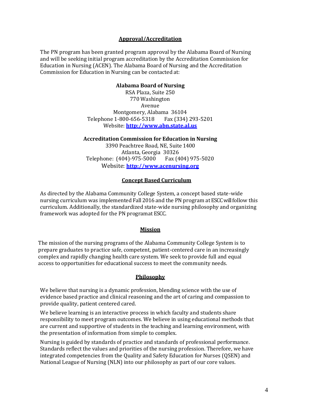#### **Approval/Accreditation**

The PN program has been granted program approval by the Alabama Board of Nursing and will be seeking initial program accreditation by the Accreditation Commission for Education in Nursing (ACEN). The Alabama Board of Nursing and the Accreditation Commission for Education in Nursing can be contacted at:

#### **Alabama Board of Nursing**

RSA Plaza, Suite 250 770 Washington Avenue Montgomery, Alabama 36104 Telephone 1-800-656-5318 Fax (334) 293-5201 Website: **[http://www.abn.state.al.us](http://www.abn.state.al.us/)**

**Accreditation Commission for Education in Nursing**

3390 Peachtree Road, NE, Suite 1400 Atlanta, Georgia 30326 Telephone: (404)-975-5000 Fax (404) 975-5020 Website: **[http://www.acenursing.org](http://www.acenursing.org/)**

#### **Concept Based Curriculum**

As directed by the Alabama Community College System, a concept based state-wide nursing curriculum was implemented Fall 2016 and the PN program at ESCC will follow this curriculum. Additionally, the standardized state-wide nursing philosophy and organizing framework was adopted for the PN programat ESCC.

#### **Mission**

 The mission of the nursing programs of the Alabama Community College System is to prepare graduates to practice safe, competent, patient-centered care in an increasingly complex and rapidly changing health care system. We seek to provide full and equal access to opportunities for educational success to meet the community needs.

#### **Philosophy**

We believe that nursing is a dynamic profession, blending science with the use of evidence based practice and clinical reasoning and the art of caring and compassion to provide quality, patient centered cared.

We believe learning is an interactive process in which faculty and students share responsibility to meet program outcomes. We believe in using educational methods that are current and supportive of students in the teaching and learning environment, with the presentation of information from simple to complex.

Nursing is guided by standards of practice and standards of professional performance. Standards reflect the values and priorities of the nursing profession. Therefore, we have integrated competencies from the Quality and Safety Education for Nurses (QSEN) and National League of Nursing (NLN) into our philosophy as part of our core values.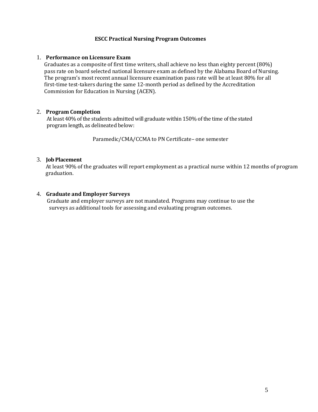#### **ESCC Practical Nursing Program Outcomes**

#### 1. **Performance on Licensure Exam**

Graduates as a composite of first time writers, shall achieve no less than eighty percent (80%) pass rate on board selected national licensure exam as defined by the Alabama Board of Nursing. The program's most recent annual licensure examination pass rate will be at least 80% for all first-time test-takers during the same 12-month period as defined by the Accreditation Commission for Education in Nursing (ACEN).

#### 2. **Program Completion**

At least 40% of the students admitted will graduate within 150% of the time of the stated program length, as delineated below:

Paramedic/CMA/CCMA to PN Certificate– one semester

#### 3. **Job Placement**

 At least 90% of the graduates will report employment as a practical nurse within 12 months of program graduation.

#### 4. **Graduate and Employer Surveys**

 Graduate and employer surveys are not mandated. Programs may continue to use the surveys as additional tools for assessing and evaluating program outcomes.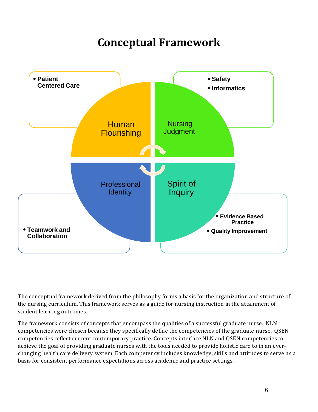### **Conceptual Framework**



The conceptual framework derived from the philosophy forms a basis for the organization and structure of the nursing curriculum. This framework serves as a guide for nursing instruction in the attainment of student learning outcomes.

The framework consists of concepts that encompass the qualities of a successful graduate nurse. NLN competencies were chosen because they specifically define the competencies of the graduate nurse. QSEN competencies reflect current contemporary practice. Concepts interlace NLN and QSEN competencies to achieve the goal of providing graduate nurses with the tools needed to provide holistic care to in an everchanging health care delivery system. Each competency includes knowledge, skills and attitudes to serve as a basis for consistent performance expectations across academic and practice settings.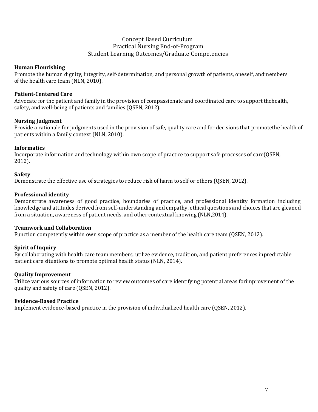#### Concept Based Curriculum Practical Nursing End-of-Program Student Learning Outcomes/Graduate Competencies

#### **Human Flourishing**

Promote the human dignity, integrity, self-determination, and personal growth of patients, oneself, andmembers of the health care team (NLN, 2010).

#### **Patient-Centered Care**

Advocate for the patient and family in the provision of compassionate and coordinated care to support thehealth, safety, and well-being of patients and families (QSEN, 2012).

#### **Nursing Judgment**

Provide a rationale for judgments used in the provision of safe, quality care and for decisions that promotethe health of patients within a family context (NLN, 2010).

#### **Informatics**

Incorporate information and technology within own scope of practice to support safe processes of care(QSEN, 2012).

#### **Safety**

Demonstrate the effective use of strategies to reduce risk of harm to self or others (QSEN, 2012).

#### **Professional identity**

Demonstrate awareness of good practice, boundaries of practice, and professional identity formation including knowledge and attitudes derived from self-understanding and empathy, ethical questions and choices that are gleaned from a situation, awareness of patient needs, and other contextual knowing (NLN,2014).

#### **Teamwork and Collaboration**

Function competently within own scope of practice as a member of the health care team (QSEN, 2012).

#### **Spirit of Inquiry**

By collaborating with health care team members, utilize evidence, tradition, and patient preferences inpredictable patient care situations to promote optimal health status (NLN, 2014).

#### **Quality Improvement**

Utilize various sources of information to review outcomes of care identifying potential areas forimprovement of the quality and safety of care (QSEN, 2012).

#### **Evidence-Based Practice**

Implement evidence-based practice in the provision of individualized health care (QSEN, 2012).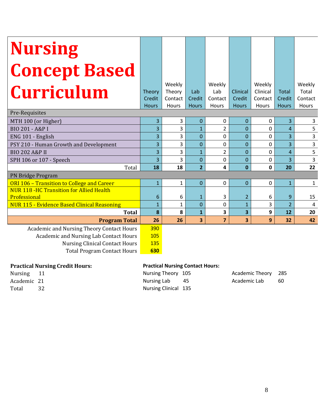| <b>Nursing</b>                                  |                |                                      |                               |                                   |                                    |                                        |                                 |                                     |
|-------------------------------------------------|----------------|--------------------------------------|-------------------------------|-----------------------------------|------------------------------------|----------------------------------------|---------------------------------|-------------------------------------|
| <b>Concept Based</b>                            |                |                                      |                               |                                   |                                    |                                        |                                 |                                     |
| <b>Curriculum</b>                               |                | Weekly<br>Theory<br>Contact<br>Hours | Lab<br>Credit<br><b>Hours</b> | Weekly<br>Lab<br>Contact<br>Hours | Clinical<br>Credit<br><b>Hours</b> | Weekly<br>Clinical<br>Contact<br>Hours | Total<br>Credit<br><b>Hours</b> | Weekly<br>Total<br>Contact<br>Hours |
| Pre-Requisites                                  |                |                                      |                               |                                   |                                    |                                        |                                 |                                     |
| MTH 100 (or Higher)                             | $\overline{3}$ | 3                                    | $\mathbf{0}$                  | 0                                 | $\mathbf{0}$                       | 0                                      | 3                               | 3                                   |
| BIO 201 - A&P I                                 |                | 3                                    | $\mathbf{1}$                  | $\overline{2}$                    | 0                                  | 0                                      | $\overline{a}$                  | 5                                   |
| ENG 101 - English                               |                | 3                                    | $\overline{0}$                | 0                                 | $\mathbf{0}$                       | 0                                      | 3                               | $\overline{3}$                      |
| PSY 210 - Human Growth and Development          |                | 3                                    | $\Omega$                      | 0                                 | $\Omega$                           | 0                                      | $\overline{3}$                  | $\overline{\mathbf{3}}$             |
| <b>BIO 202 A&amp;P II</b>                       |                | 3                                    | $\mathbf{1}$                  | $\overline{2}$                    | $\Omega$                           | $\Omega$                               | $\overline{4}$                  | 5                                   |
| SPH 106 or 107 - Speech                         |                | 3                                    | $\mathbf 0$                   | 0                                 | 0                                  | 0                                      | $\overline{3}$                  | $\overline{\mathbf{3}}$             |
| Total                                           |                | 18                                   | $\overline{2}$                | 4                                 | $\mathbf{0}$                       | 0                                      | 20                              | 22                                  |
| PN Bridge Program                               |                |                                      |                               |                                   |                                    |                                        |                                 |                                     |
| ORI 106 - Transition to College and Career      | $\mathbf{1}$   | $\mathbf{1}$                         | $\overline{0}$                | $\mathbf 0$                       | $\mathbf{0}$                       | 0                                      | $\mathbf{1}$                    | $\mathbf{1}$                        |
| <b>NUR 118 -HC Transition for Allied Health</b> | 6              |                                      |                               |                                   |                                    |                                        |                                 |                                     |
| Professional                                    |                | 6                                    | $\mathbf{1}$                  | 3                                 | $\overline{2}$                     | 6                                      | 9                               | 15                                  |
| NUR 115 - Evidence Based Clinical Reasoning     |                | $\mathbf{1}$                         | $\overline{0}$                | $\mathbf 0$                       | $\mathbf{1}$                       | $\overline{3}$                         | $\overline{2}$                  | $\pmb{4}$                           |
| <b>Total</b>                                    | 8              | 8                                    | $\mathbf{1}$                  | 3                                 | $\overline{\mathbf{3}}$            | 9                                      | 12                              | 20                                  |
| <b>Program Total</b>                            | 26<br>390      | 26                                   | 3                             | $\overline{\mathbf{z}}$           | 3                                  | 9                                      | 32                              | 42                                  |
| Academic and Nursing Theory Contact Hours       |                |                                      |                               |                                   |                                    |                                        |                                 |                                     |
| Academic and Nursing Lab Contact Hours          |                |                                      |                               |                                   |                                    |                                        |                                 |                                     |
| <b>Nursing Clinical Contact Hours</b>           |                |                                      |                               |                                   |                                    |                                        |                                 |                                     |
| <b>Total Program Contact Hours</b>              | 630            |                                      |                               |                                   |                                    |                                        |                                 |                                     |
|                                                 |                |                                      |                               |                                   |                                    |                                        |                                 |                                     |

#### **Practical Nursing Credit Hours: Practical Nursing Contact Hours:**

Total 32 Nursing Clinical 135

Nursing 11 Nursing Theory 105 Academic Theory 285 Academic 21 **Academic 21** Nursing Lab 45 Academic Lab 60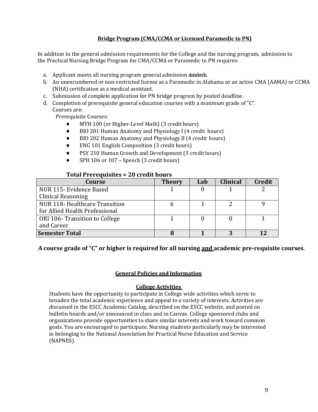#### **Bridge Program (CMA/CCMA or Licensed Paramedic to PN)**

In addition to the general admission requirements for the College and the nursing program, admission to the Practical Nursing Bridge Program for CMA/CCMA or Paramedic to PN requires:

- a. Applicant meets all nursing program general admission standards.
- b. An unencumbered or non-restricted license as a Paramedic in Alabama or an active CMA (AAMA) or CCMA (NHA) certification as a medical assistant.
- c. Submission of complete application for PN bridge program by posted deadline.
- d. Completion of prerequisite general education courses with a minimum grade of"C". Courses are:

Prerequisite Courses:

- MTH 100 (or Higher-Level Math) (3 credithours)
- BIO 201 Human Anatomy and Physiology I (4 credit hours)
- BIO 202 Human Anatomy and Physiology II (4 credit hours)
- **ENG 101 English Composition (3 credit hours)**
- PSY 210 Human Growth and Development (3 credit hours)
- $SPH 106$  or  $107$  Speech (3 credit hours)

#### **Total Prerequisites = 20 credit hours**

| Course                         | <b>Theory</b> | Lab | <b>Clinical</b> | <b>Credit</b> |
|--------------------------------|---------------|-----|-----------------|---------------|
| NUR 115- Evidence Based        |               |     |                 |               |
| <b>Clinical Reasoning</b>      |               |     |                 |               |
| NUR 118-Healthcare Transition  |               |     |                 |               |
| for Allied Health Professional |               |     |                 |               |
| ORI 106- Transition to College |               |     |                 |               |
| and Career                     |               |     |                 |               |
| <b>Semester Total</b>          |               |     |                 |               |

**A course grade of "C" or higher is required for all nursing and academic pre-requisite courses.**

#### **General Policies and Information**

#### **College Activities**

Students have the opportunity to participate in College wide activities which serve to broaden the total academic experience and appeal to a variety of interests. Activities are discussed in the ESCC Academic Catalog, described on the ESCC website, and posted on bulletin boards and/or announced in class and in Canvas. College sponsored clubs and organizations provide opportunities to share similar interests and work toward common goals. You are encouraged to participate. Nursing students particularly may be interested in belonging to the National Association for Practical Nurse Education and Service (NAPNES).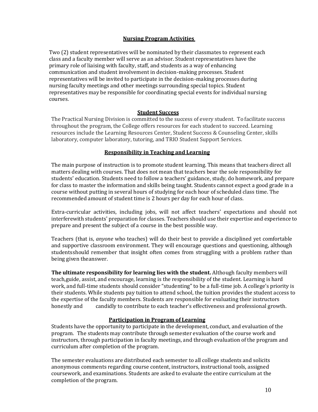#### **Nursing Program Activities**

Two (2) student representatives will be nominated by their classmates to represent each class and a faculty member will serve as an advisor. Student representatives have the primary role of liaising with faculty, staff, and students as a way of enhancing communication and student involvement in decision-making processes. Student representatives will be invited to participate in the decision-making processes during nursing faculty meetings and other meetings surrounding special topics. Student representatives may be responsible for coordinating special events for individual nursing courses.

#### **Student Success**

The Practical Nursing Division is committed to the success of every student. To facilitate success throughout the program, the College offers resources for each student to succeed. Learning resources include the Learning Resources Center, Student Success & Counseling Center, skills laboratory, computer laboratory, tutoring, and TRIO Student Support Services.

#### **Responsibility in Teaching and Learning**

The main purpose of instruction is to promote student learning. This means that teachers direct all matters dealing with courses. That does not mean that teachers bear the sole responsibility for students' education. Students need to follow a teachers' guidance, study, do homework, and prepare for class to master the information and skills being taught. Students cannot expect a good grade in a course without putting in several hours of studying for each hour of scheduled class time. The recommended amount of student time is 2 hours per day for each hour of class.

Extra-curricular activities, including jobs, will not affect teachers' expectations and should not interferewith students' preparation for classes. Teachers should use their expertise and experience to prepare and present the subject of a course in the best possible way.

Teachers (that is, *anyone* who teaches) will do their best to provide a disciplined yet comfortable and supportive classroom environment. They will encourage questions and questioning, although studentsshould remember that insight often comes from struggling with a problem rather than being given theanswer.

**The ultimate responsibility for learning lies with the student.** Although faculty members will teach,guide, assist, and encourage, learning is the responsibility of the student. Learning is hard work, and full-time students should consider "studenting" to be a full-time job. A college's priority is their students. While students pay tuition to attend school, the tuition provides the student access to the expertise of the faculty members. Students are responsible for evaluating their instructors honestly and candidly to contribute to each teacher's effectiveness and professional growth.

#### **Participation in Program of Learning**

Students have the opportunity to participate in the development, conduct, and evaluation of the program. The students may contribute through semester evaluation of the course work and instructors, through participation in faculty meetings, and through evaluation of the program and curriculum after completion of the program.

The semester evaluations are distributed each semester to all college students and solicits anonymous comments regarding course content, instructors, instructional tools, assigned coursework, and examinations. Students are asked to evaluate the entire curriculum at the completion of the program.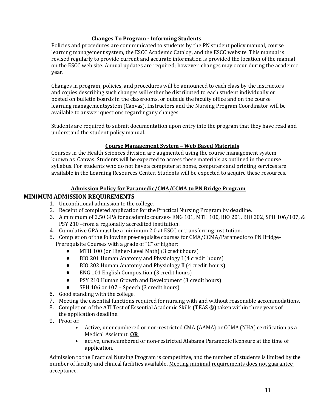#### **Changes To Program - Informing Students**

Policies and procedures are communicated to students by the PN student policy manual, course learning management system, the ESCC Academic Catalog, and the ESCC website. This manual is revised regularly to provide current and accurate information is provided the location of the manual on the ESCC web site. Annual updates are required; however, changes may occur during the academic year.

Changes in program, policies, and procedures will be announced to each class by the instructors and copies describing such changes will either be distributed to each student individually or posted on bulletin boards in the classrooms, or outside the faculty office and on the course learning managementsystem (Canvas). Instructors and the Nursing Program Coordinator will be available to answer questions regardingany changes.

Students are required to submit documentation upon entry into the program that they have read and understand the student policy manual.

#### **Course Management System – Web Based Materials**

Courses in the Health Sciences division are augmented using the course management system known as Canvas. Students will be expected to access these materials as outlined in the course syllabus. For students who do not have a computer at home, computers and printing services are available in the Learning Resources Center. Students will be expected to acquire these resources.

#### **Admission Policy for Paramedic/CMA/CCMA to PN Bridge Program**

#### **MINIMUM ADMISSION REQUIREMENTS**

- 1. Unconditional admission to the college.
- 2. Receipt of completed application for the Practical Nursing Program by deadline.
- 3. A minimum of 2.50 GPA for academic courses- ENG 101, MTH 100, BIO 201, BIO 202, SPH 106/107, & PSY 210 –from a regionally accredited institution.
- 4. Cumulative GPA must be a minimum 2.0 at ESCC or transferring institution.
- 5. Completion of the following pre-requisite courses for CMA/CCMA/Paramedic to PN Bridge-
	- Prerequisite Courses with a grade of "C" or higher:
		- MTH 100 (or Higher-Level Math) (3 credithours)
		- BIO 201 Human Anatomy and Physiology I (4 credit hours)
		- BIO 202 Human Anatomy and Physiology II (4 credit hours)
		- ENG 101 English Composition (3 credit hours)
		- PSY 210 Human Growth and Development (3 credit hours)
		- SPH 106 or 107 Speech (3 credit hours)
- 6. Good standing with the college.
- 7. Meeting the essential functions required for nursing with and without reasonable accommodations.
- 8. Completion of the ATI Test of Essential Academic Skills (TEAS ®) taken within three years of the application deadline.
- 9. Proof of:
	- Active, unencumbered or non-restricted CMA (AAMA) or CCMA (NHA) certification as a Medical Assistant, **OR**
	- active, unencumbered or non-restricted Alabama Paramedic licensure at the time of application.

Admission to the Practical Nursing Program is competitive, and the number of students is limited by the number of faculty and clinical facilities available. Meeting minimal requirements does not guarantee acceptance.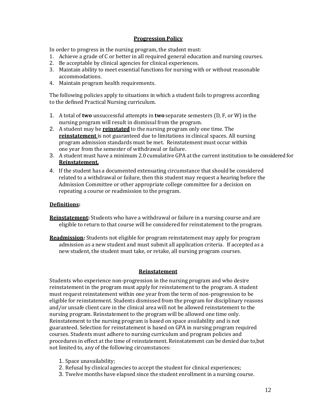#### **Progression Policy**

In order to progress in the nursing program, the student must:

- 1. Achieve a grade of C or better in all required general education and nursing courses.
- 2. Be acceptable by clinical agencies for clinical experiences.
- 3. Maintain ability to meet essential functions for nursing with or without reasonable accommodations.
- 4. Maintain program health requirements.

The following policies apply to situations in which a student fails to progress according to the defined Practical Nursing curriculum.

- 1. A total of **two** unsuccessful attempts in **two** separate semesters (D, F, or W)in the nursing program will result in dismissal from the program.
- 2. A student may be **reinstated** to the nursing program only one time. The **reinstatement** is not guaranteed due to limitations in clinical spaces. All nursing program admission standards must be met. Reinstatement must occur within one year from the semester of withdrawal or failure.
- 3. A student must have a minimum 2.0 cumulative GPA at the current institution to be considered for **Reinstatement.**
- 4. If the student has a documented extenuating circumstance that should be considered related to a withdrawal or failure, then this student may request a hearing before the Admission Committee or other appropriate college committee for a decision on repeating a course or readmission to the program.

#### **Definitions:**

- **Reinstatement:** Students who have a withdrawal or failure in a nursing course and are eligible to return to that course will be considered for reinstatement to the program.
- **Readmission:** Students not eligible for program reinstatement may apply for program admission as a new student and must submit all application criteria. If accepted as a new student, the student must take, or retake, all nursing program courses.

#### **Reinstatement**

Students who experience non-progression in the nursing program and who desire reinstatement in the program must apply for reinstatement to the program. A student must request reinstatement within one year from the term of non-progression to be eligible for reinstatement. Students dismissed from the program for disciplinary reasons and/or unsafe client care in the clinical area will not be allowed reinstatement to the nursing program. Reinstatement to the program will be allowed one time only. Reinstatement to the nursing program is based on space availability and is not guaranteed. Selection for reinstatement is based on GPA in nursing program required courses. Students must adhere to nursing curriculum and program policies and procedures in effect at the time of reinstatement. Reinstatement can be denied due to,but not limited to, any of the following circumstances:

- 1. Space unavailability;
- 2. Refusal by clinical agencies to accept the student for clinical experiences;
- 3. Twelve months have elapsed since the student enrollment in a nursing course.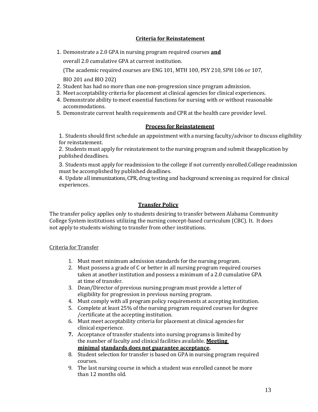#### **Criteria for Reinstatement**

1. Demonstrate a 2.0 GPA in nursing program required courses **and**

overall 2.0 cumulative GPA at current institution.

(The academic required courses are ENG 101, MTH 100, PSY 210, SPH 106 or 107,

BIO 201 and BIO 202)

- 2. Student has had no more than one non-progression since program admission.
- 3. Meet acceptability criteria for placement at clinical agencies for clinical experiences.
- 4. Demonstrate ability to meet essential functions for nursing with or without reasonable accommodations.
- 5. Demonstrate current health requirements and CPR at the health care provider level.

#### **Process for Reinstatement**

1. Students should first schedule an appointment with a nursing faculty/advisor to discuss eligibility for reinstatement.

2. Students must apply for reinstatement to the nursing program and submit theapplication by published deadlines.

3. Students must apply for readmission to the college if not currently enrolled.College readmission must be accomplished by published deadlines.

4. Update all immunizations, CPR, drug testing and background screening as required for clinical experiences.

#### **Transfer Policy**

The transfer policy applies only to students desiring to transfer between Alabama Community College System institutions utilizing the nursing concept-based curriculum (CBC). It. It does not apply to students wishing to transfer from other institutions.

#### Criteria for Transfer

- 1. Must meet minimum admission standards for the nursing program.
- 2. Must possess a grade of C or better in all nursing program required courses taken at another institution and possess a minimum of a 2.0 cumulative GPA at time of transfer.
- 3. Dean/Director of previous nursing program must provide a letter of eligibility for progression in previous nursing program.
- 4. Must comply with all program policy requirements at accepting institution.
- 5. Complete at least 25% of the nursing program required courses for degree /certificate at the accepting institution.
- 6. Must meet acceptability criteria for placement at clinical agencies for clinical experience.
- **7.** Acceptance of transfer students into nursing programs is limited by the number of faculty and clinical facilities available. **Meeting minimal standards does not guarantee acceptance.**
- 8. Student selection for transfer is based on GPA in nursing program required courses.
- 9. The last nursing course in which a student was enrolled cannot be more than 12 months old.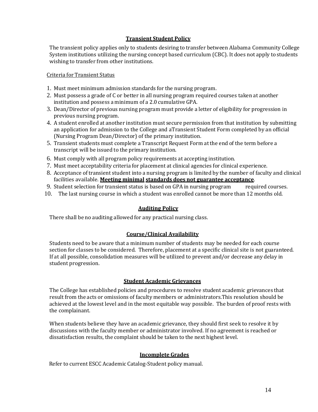#### **Transient Student Policy**

The transient policy applies only to students desiring to transfer between Alabama Community College System institutions utilizing the nursing concept based curriculum (CBC). It does not apply to students wishing to transfer from other institutions.

#### Criteria for Transient Status

- 1. Must meet minimum admission standards for the nursing program.
- 2. Must possess a grade of C or better in all nursing program required courses taken at another institution and possess a minimum of a 2.0 cumulative GPA.
- 3. Dean/Director of previous nursing program must provide a letter of eligibility for progression in previous nursing program.
- 4. A student enrolled at another institution must secure permission from that institution by submitting an application for admission to the College and aTransient Student Form completed by an official (Nursing Program Dean/Director) of the primary institution.
- 5. Transient students must complete a Transcript Request Form at the end of the term before a transcript will be issued to the primary institution.
- 6. Must comply with all program policy requirements at accepting institution.
- 7. Must meet acceptability criteria for placement at clinical agencies for clinical experience.
- 8. Acceptance of transient student into a nursing program is limited by the number of faculty and clinical facilities available. **Meeting minimal standards does not guarantee acceptance**.
- 9. Student selection for transient status is based on GPA in nursing program required courses.
- 10. The last nursing course in which a student was enrolled cannot be more than 12 months old.

#### **Auditing Policy**

There shall be no auditing allowed for any practical nursing class.

#### **Course/Clinical Availability**

Students need to be aware that a minimum number of students may be needed for each course section for classes to be considered. Therefore, placement at a specific clinical site is not guaranteed. If at all possible, consolidation measures will be utilized to prevent and/or decrease any delay in student progression.

#### **Student Academic Grievances**

The College has established policies and procedures to resolve student academic grievances that result from the acts or omissions of faculty members or administrators.This resolution should be achieved at the lowest level and in the most equitable way possible. The burden of proof rests with the complainant.

When students believe they have an academic grievance, they should first seek to resolve it by discussions with the faculty member or administrator involved. If no agreement is reached or dissatisfaction results, the complaint should be taken to the next highest level.

#### **Incomplete Grades**

Refer to current ESCC Academic Catalog-Student policy manual.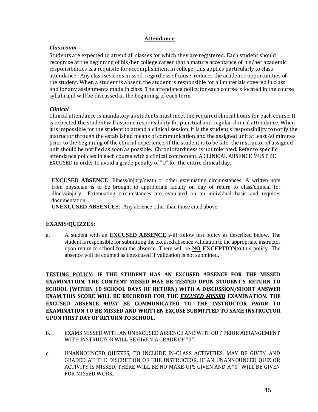#### **Attendance**

#### *Classroom*

Students are expected to attend all classes for which they are registered. Each student should recognize at the beginning of his/her college career that a mature acceptance of his/her academic responsibilities is a requisite for accomplishment in college; this applies particularly to class attendance. Any class sessions missed, regardless of cause, reduces the academic opportunities of the student. When a student is absent, the student is responsible for all materials covered in class and for any assignments made in class. The attendance policy for each course is located in the course syllabi and will be discussed at the beginning of each term.

#### *Clinical*

Clinical attendance is mandatory as students must meet the required clinical hours for each course. It is expected the student will assume responsibility for punctual and regular clinical attendance. When it is impossible for the student to attend a clinical session, it is the student's responsibility to notify the instructor through the established means of communication and the assigned unit at least 60 minutes prior to the beginning of the clinical experience. If the student is to be late, the instructor of assigned unit should be notified as soon as possible. Chronic tardiness is not tolerated. Refer to specific attendance policies in each course with a clinical component. A CLINICAL ABSENCE MUST BE EXCUSED in order to avoid a grade penalty of "U" for the entire clinical day.

**EXCUSED ABSENCE**: Illness/injury/death or other extenuating circumstances. A written note from physician is to be brought to appropriate faculty on day of return to class/clinical for illness/injury. Extenuating circumstances are evaluated on an individual basis and requires documentation.

**UNEXCUSED ABSENCES**: Any absence other than those cited above.

#### **EXAMS/QUIZZES:**

a. A student with an **EXCUSED ABSENCE** will follow test policy as described below. The student is responsible for submitting the excused absence validation to the appropriate instructor upon return to school from the absence. There will be **NO EXCEPTION**to this policy. The absence will be counted as unexcused if validation is not submitted.

**TESTING POLICY: IF THE STUDENT HAS AN EXCUSED ABSENCE FOR THE MISSED EXAMINATION, THE CONTENT MISSED MAY BE TESTED UPON STUDENT'S RETURN TO SCHOOL (WITHIN 10 SCHOOL DAYS OF RETURN) WITH A DISCUSSION/SHORT ANSWER EXAM.THIS SCORE WILL BE RECORDED FOR THE** *EXCUSED MISSED* **EXAMINATION. THE EXCUSED ABSENCE** *MUST* **BE COMMUNICATED TO THE INSTRUCTOR** *PRIOR* **TO EXAMINATION TO BE MISSED AND WRITTEN EXCUSE SUBMITTED TO SAME INSTRUCTOR UPON FIRST DAY OF RETURN TO SCHOOL.**

- b. EXAMS MISSED WITH AN UNEXCUSED ABSENCE AND WITHOUT PRIOR ARRANGEMENT WITH INSTRUCTOR WILL BE GIVEN A GRADE OF "0".
- c. UNANNOUNCED QUIZZES, TO INCLUDE IN-CLASS ACTIVITIES, MAY BE GIVEN AND GRADED AT THE DISCRETION OF THE INSTRUCTOR. IF AN UNANNOUNCED QUIZ OR ACTIVITY IS MISSED, THERE WILL BE NO MAKE-UPS GIVEN AND A "0" WILL BE GIVEN FOR MISSED WORK.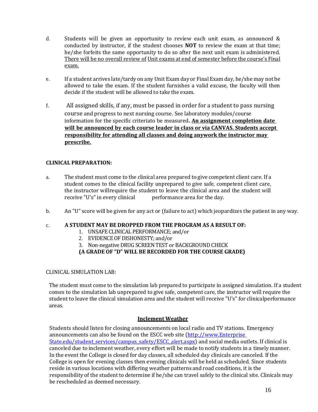- d. Students will be given an opportunity to review each unit exam, as announced & conducted by instructor, if the student chooses **NOT** to review the exam at that time; he/she forfeits the same opportunity to do so after the next unit exam is administered. There will be no overall review of Unit exams at end of semester before the course's Final exam.
- e. If a student arrives late/tardy on any Unit Exam day or Final Exam day, he/she may not be allowed to take the exam. If the student furnishes a valid excuse, the faculty will then decide if the student will be allowed to take the exam.
- f. All assigned skills, if any, must be passed in order for a student to pass nursing course and progress to next nursing course. See laboratory modules/course information for the specific criteriato be measured**. An assignment completion date will be announced by each course leader in class or via CANVAS. Students accept responsibility for attending all classes and doing anywork the instructor may prescribe.**

#### **CLINICAL PREPARATION:**

- a. The student must come to the clinical area prepared to give competent client care. If a student comes to the clinical facility unprepared to give safe, competent client care, the instructor willrequire the student to leave the clinical area and the student will receive "U's" in every clinical performance area for the day.
- b. An "U" score will be given for any act or (failure to act) which jeopardizes the patient in any way.

#### c. **A STUDENT MAY BE DROPPED FROM THE PROGRAM AS A RESULT OF:**

- 1. UNSAFE CLINICAL PERFORMANCE; and/or
- 2. EVIDENCE OF DISHONESTY; and/or
- 3. Non-negative DRUG SCREEN TEST or BACKGROUND CHECK
- **(A GRADE OF "D" WILL BE RECORDED FOR THE COURSE GRADE)**

#### CLINICAL SIMULATION LAB:

The student must come to the simulation lab prepared to participate in assigned simulation. If a student comes to the simulation lab unprepared to give safe, competent care, the instructor will require the student to leave the clinical simulation area and the student will receive "U's" for clinicalperformance areas.

#### **Inclement Weather**

Students should listen for closing announcements on local radio and TV stations. Emergency announcements can also be found on the ESCC web site (http://www.Enterprise [State.edu/student\\_services/campus\\_safety/ESCC\\_alert.aspx\)](http://www.wallace.edu/student_services/campus_safety/wcc_alert.aspx) and social media outlets. If clinical is canceled due to inclement weather, every effort will be made to notify students in a timely manner. In the event the College is closed for day classes, all scheduled day clinicals are canceled. If the College is open for evening classes then evening clinicals will be held as scheduled. Since students reside in various locations with differing weather patterns and road conditions, it is the responsibility of the student to determine if he/she can travel safely to the clinical site. Clinicals may be rescheduled as deemed necessary.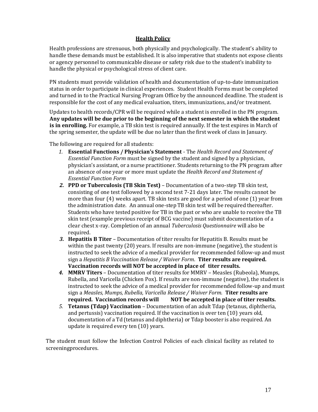#### **Health Policy**

Health professions are strenuous, both physically and psychologically. The student's ability to handle these demands must be established. It is also imperative that students not expose clients or agency personnel to communicable disease or safety risk due to the student's inability to handle the physical or psychological stress of client care.

PN students must provide validation of health and documentation of up-to-date immunization status in order to participate in clinical experiences. Student Health Forms must be completed and turned in to the Practical Nursing Program Office by the announced deadline. The student is responsible for the cost of any medical evaluation, titers, immunizations, and/or treatment.

Updates to health records/CPR will be required while a student is enrolled in the PN program. **Any updates will be due prior to the beginning of the next semester in which the student is in enrolling.** For example, a TB skin test is required annually. If the test expires in March of the spring semester, the update will be due no later than the first week of class in January.

The following are required for all students:

- *1.* **Essential Functions / Physician's Statement**  The *Health Record and Statement of Essential Function Form* must be signed by the student and signed by a physician, physician's assistant, or a nurse practitioner. Students returning to the PN program after an absence of one year or more must update the *Health Record and Statement of Essential Function Form*
- *2.* **PPD or Tuberculosis (TB Skin Test)**  Documentation of a two-step TB skin test, consisting of one test followed by a second test 7-21 days later. The results cannot be more than four (4) weeks apart. TB skin tests are good for a period of one (1) year from the administration date. An annual one-step TB skin test will be required thereafter. Students who have tested positive for TB in the past or who are unable to receive the TB skin test (example previous receipt of BCG vaccine) must submit documentation of a clear chest x-ray. Completion of an annual *Tuberculosis Questionnaire* will also be required.
- *3.* **Hepatitis B Titer**  Documentation of titer results for Hepatitis B. Results must be within the past twenty (20) years. If results are non-immune (negative), the student is instructed to seek the advice of a medical provider for recommended follow-up and must sign a *Hepatitis B Vaccination Release / Waiver Form*. **Titer results are required. Vaccination records will NOT be accepted in place of titer results.**
- *4.* **MMRV Titers**  Documentation of titer results for MMRV Measles (Rubeola), Mumps, Rubella, and Varicella (Chicken Pox). If results are non-immune (negative), the student is instructed to seek the advice of a medical provider for recommended follow-up and must sign a *Measles, Mumps, Rubella, Varicella Release / Waiver Form.* **Titer results are required. Vaccination records will NOT be accepted in place of titer results.**
- *5.* **Tetanus (Tdap) Vaccination**  Documentation of an adult Tdap (tetanus, diphtheria, and pertussis) vaccination required. If the vaccination is over ten (10) years old, documentation of a Td (tetanus and diphtheria) or Tdap booster is also required. An update is required every ten (10) years.

The student must follow the Infection Control Policies of each clinical facility as related to screeningprocedures.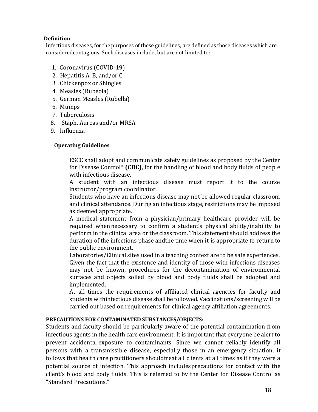#### **Definition**

Infectious diseases, for the purposes of these guidelines, are defined as those diseases which are consideredcontagious. Such diseases include, but are not limited to:

- 1. Coronavirus (COVID-19)
- 2. Hepatitis A, B, and/or C
- 3. Chickenpox or Shingles
- 4. Measles (Rubeola)
- 5. German Measles (Rubella)
- 6. Mumps
- 7. Tuberculosis
- 8. Staph. Aureas and/or MRSA
- 9. Influenza

#### **Operating Guidelines**

ESCC shall adopt and communicate safety guidelines as proposed by the Center for Disease Control\* **(CDC)**, for the handling of blood and body fluids of people with infectious disease.

A student with an infectious disease must report it to the course instructor/program coordinator.

Students who have an infectious disease may not be allowed regular classroom and clinical attendance. During an infectious stage, restrictions may be imposed as deemed appropriate.

A medical statement from a physician/primary healthcare provider will be required whennecessary to confirm a student's physical ability/inability to perform in the clinical area or the classroom. This statement should address the duration of the infectious phase andthe time when it is appropriate to return to the public environment.

Laboratories/Clinical sites used in a teaching context are to be safe experiences. Given the fact that the existence and identity of those with infectious diseases may not be known, procedures for the decontamination of environmental surfaces and objects soiled by blood and body fluids shall be adopted and implemented.

At all times the requirements of affiliated clinical agencies for faculty and students withinfectious disease shall be followed. Vaccinations/screening will be carried out based on requirements for clinical agency affiliation agreements.

#### **PRECAUTIONS FOR CONTAMINATED SUBSTANCES/OBJECTS:**

Students and faculty should be particularly aware of the potential contamination from infectious agents in the health care environment. It is important that everyone be alert to prevent accidental exposure to contaminants. Since we cannot reliably identify all persons with a transmissible disease, especially those in an emergency situation, it follows that health care practitioners shouldtreat all clients at all times as if they were a potential source of infection. This approach includesprecautions for contact with the client's blood and body fluids. This is referred to by the Center for Disease Control as "Standard Precautions."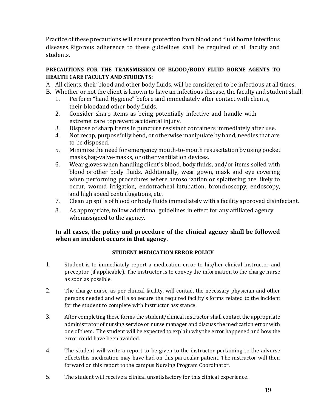Practice of these precautions will ensure protection from blood and fluid borne infectious diseases.Rigorous adherence to these guidelines shall be required of all faculty and students.

#### **PRECAUTIONS FOR THE TRANSMISSION OF BLOOD/BODY FLUID BORNE AGENTS TO HEALTH CARE FACULTY AND STUDENTS:**

A. All clients, their blood and other body fluids, will be considered to be infectious at all times. B. Whether or not the client is known to have an infectious disease, the faculty and student shall:

- 1. Perform "hand Hygiene" before and immediately after contact with clients, their bloodand other body fluids.
- 2. Consider sharp items as being potentially infective and handle with extreme care toprevent accidental injury.
- 3. Dispose of sharp items in puncture resistant containers immediately after use.
- 4. Not recap, purposefully bend, or otherwise manipulate by hand, needles that are to be disposed.
- 5. Minimize the need for emergency mouth-to-mouth resuscitation by using pocket masks,bag-valve-masks, or other ventilation devices.
- 6. Wear gloves when handling client's blood, body fluids, and/or items soiled with blood orother body fluids. Additionally, wear gown, mask and eye covering when performing procedures where aerosolization or splattering are likely to occur, wound irrigation, endotracheal intubation, bronchoscopy, endoscopy, and high speed centrifugations, etc.
- 7. Clean up spills of blood or body fluids immediately with a facility approved disinfectant.
- 8. As appropriate, follow additional guidelines in effect for any affiliated agency whenassigned to the agency.

#### **In all cases, the policy and procedure of the clinical agency shall be followed when an incident occurs in that agency.**

#### **STUDENT MEDICATION ERROR POLICY**

- 1. Student is to immediately report a medication error to his/her clinical instructor and preceptor (if applicable). The instructor is to convey the information to the charge nurse as soon as possible.
- 2. The charge nurse, as per clinical facility, will contact the necessary physician and other persons needed and will also secure the required facility's forms related to the incident for the student to complete with instructor assistance.
- 3. After completing these forms the student/clinical instructor shall contact the appropriate administrator of nursing service or nurse manager and discuss the medication error with one ofthem. The student will be expected to explain why the error happened and how the error could have been avoided.
- 4. The student will write a report to be given to the instructor pertaining to the adverse effectsthis medication may have had on this particular patient. The instructor will then forward on this report to the campus Nursing Program Coordinator.
- 5. The student will receive a clinical unsatisfactory for this clinical experience.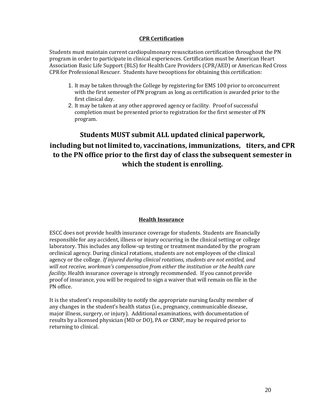#### **CPR Certification**

Students must maintain current cardiopulmonary resuscitation certification throughout the PN program in order to participate in clinical experiences. Certification must be American Heart Association Basic Life Support (BLS) for Health Care Providers (CPR/AED) or American Red Cross CPR for Professional Rescuer. Students have twooptions for obtaining this certification:

- 1. It may be taken through the College by registering for EMS 100 prior to orconcurrent with the first semester of PN program as long as certification is awarded prior to the first clinical day.
- 2. It may be taken at any other approved agency or facility. Proof of successful completion must be presented prior to registration for the first semester of PN program.

### **Students MUST submit ALL updated clinical paperwork, including but notlimited to, vaccinations, immunizations, titers, and CPR to the PN office prior to the first day of class the subsequent semester in which the student is enrolling.**

#### **Health Insurance**

ESCC does not provide health insurance coverage for students. Students are financially responsible for any accident, illness or injury occurring in the clinical setting or college laboratory. This includes any follow-up testing or treatment mandated by the program orclinical agency. During clinical rotations, students are not employees of the clinical agency or the college. *If injured during clinical rotations, students are not entitled, and will not receive, workman's compensation from either the institution or the health care facility.* Health insurance coverage is strongly recommended. If you cannot provide proof of insurance, you will be required to sign a waiver that will remain on file in the PN office.

It is the student's responsibility to notify the appropriate nursing faculty member of any changes in the student's health status (i.e., pregnancy, communicable disease, major illness, surgery, or injury). Additional examinations, with documentation of results by a licensed physician (MD or DO), PA or CRNP, may be required prior to returning to clinical.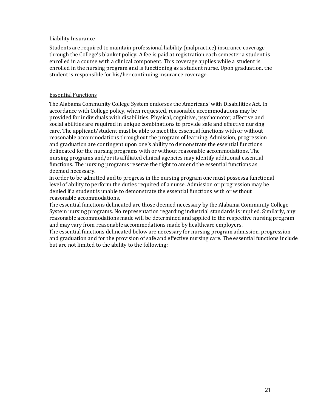#### Liability Insurance

Students are required to maintain professional liability (malpractice) insurance coverage through the College's blanket policy. A fee is paid at registration each semester a student is enrolled in a course with a clinical component. This coverage applies while a student is enrolled in the nursing program and is functioning as a student nurse. Upon graduation, the student is responsible for his/her continuing insurance coverage.

#### Essential Functions

The Alabama Community College System endorses the Americans' with Disabilities Act. In accordance with College policy, when requested, reasonable accommodations may be provided for individuals with disabilities. Physical, cognitive, psychomotor, affective and social abilities are required in unique combinations to provide safe and effective nursing care. The applicant/student must be able to meet the essential functions with or without reasonable accommodations throughout the program of learning. Admission, progression and graduation are contingent upon one's ability to demonstrate the essential functions delineated for the nursing programs with or without reasonable accommodations. The nursing programs and/or its affiliated clinical agencies may identify additional essential functions. The nursing programs reserve the right to amend the essential functions as deemed necessary.

In order to be admitted and to progress in the nursing program one must possessa functional level of ability to perform the duties required of a nurse. Admission or progression may be denied if a student is unable to demonstrate the essential functions with or without reasonable accommodations.

The essential functions delineated are those deemed necessary by the Alabama Community College System nursing programs. No representation regarding industrial standards is implied. Similarly, any reasonable accommodations made will be determined and applied to the respective nursing program and may vary from reasonable accommodations made by healthcare employers.

The essential functions delineated below are necessary for nursing program admission, progression and graduation and for the provision of safe and effective nursing care. The essential functions include but are not limited to the ability to the following: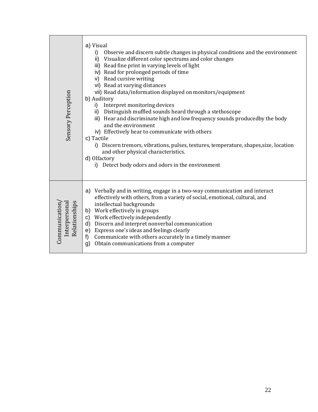| Sensory Perception                             | a) Visual<br>Observe and discern subtle changes in physical conditions and the environment<br>i)<br>ii)<br>Visualize different color spectrums and color changes<br>iii) Read fine print in varying levels of light<br>iv) Read for prolonged periods of time<br>v) Read cursive writing<br>vi) Read at varying distances<br>vii) Read data/information displayed on monitors/equipment<br>b) Auditory<br>i) Interpret monitoring devices<br>ii) Distinguish muffled sounds heard through a stethoscope<br>iii) Hear and discriminate high and low frequency sounds producedby the body<br>and the environment<br>iv) Effectively hear to communicate with others<br>c) Tactile<br>i) Discern tremors, vibrations, pulses, textures, temperature, shapes, size, location<br>and other physical characteristics.<br>d) Olfactory<br>Detect body odors and odors in the environment<br>i) |
|------------------------------------------------|-----------------------------------------------------------------------------------------------------------------------------------------------------------------------------------------------------------------------------------------------------------------------------------------------------------------------------------------------------------------------------------------------------------------------------------------------------------------------------------------------------------------------------------------------------------------------------------------------------------------------------------------------------------------------------------------------------------------------------------------------------------------------------------------------------------------------------------------------------------------------------------------|
| Relationships<br>Interpersona<br>Communication | Verbally and in writing, engage in a two-way communication and interact<br>a)<br>effectively with others, from a variety of social, emotional, cultural, and<br>intellectual backgrounds<br>b) Work effectively in groups<br>c) Work effectively independently<br>d) Discern and interpret nonverbal communication<br>e) Express one's ideas and feelings clearly<br>Communicate with others accurately in a timely manner<br>f)<br>Obtain communications from a computer<br>g)                                                                                                                                                                                                                                                                                                                                                                                                         |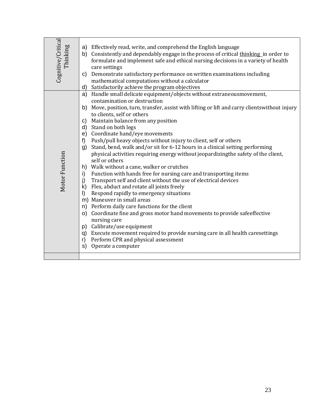| Cognitive/Critical<br>Thinking | a) Effectively read, write, and comprehend the English language<br>b) Consistently and dependably engage in the process of critical thinking in order to<br>formulate and implement safe and ethical nursing decisions in a variety of health<br>care settings<br>c) Demonstrate satisfactory performance on written examinations including<br>mathematical computations without a calculator<br>Satisfactorily achieve the program objectives<br>d)                                                                                                                                                                                                                                                                                                                                                                                                                                                                                                                                                                                                                                                                                                                                                                                                                                                           |
|--------------------------------|----------------------------------------------------------------------------------------------------------------------------------------------------------------------------------------------------------------------------------------------------------------------------------------------------------------------------------------------------------------------------------------------------------------------------------------------------------------------------------------------------------------------------------------------------------------------------------------------------------------------------------------------------------------------------------------------------------------------------------------------------------------------------------------------------------------------------------------------------------------------------------------------------------------------------------------------------------------------------------------------------------------------------------------------------------------------------------------------------------------------------------------------------------------------------------------------------------------------------------------------------------------------------------------------------------------|
| Motor Function                 | Handle small delicate equipment/objects without extraneousmovement,<br>a)<br>contamination or destruction<br>b) Move, position, turn, transfer, assist with lifting or lift and carry clients without injury<br>to clients, self or others<br>Maintain balance from any position<br>C)<br>d) Stand on both legs<br>e) Coordinate hand/eye movements<br>Push/pull heavy objects without injury to client, self or others<br>f)<br>Stand, bend, walk and/or sit for 6-12 hours in a clinical setting performing<br>g)<br>physical activities requiring energy without jeopardizing the safety of the client,<br>self or others<br>h) Walk without a cane, walker or crutches<br>Function with hands free for nursing care and transporting items<br>i)<br>Transport self and client without the use of electrical devices<br>j)<br>Flex, abduct and rotate all joints freely<br>k)<br>Respond rapidly to emergency situations<br>$\vert$<br>m) Maneuver in small areas<br>n) Perform daily care functions for the client<br>o) Coordinate fine and gross motor hand movements to provide safeeffective<br>nursing care<br>p) Calibrate/use equipment<br>q) Execute movement required to provide nursing care in all health caresettings<br>Perform CPR and physical assessment<br>r)<br>Operate a computer<br>s) |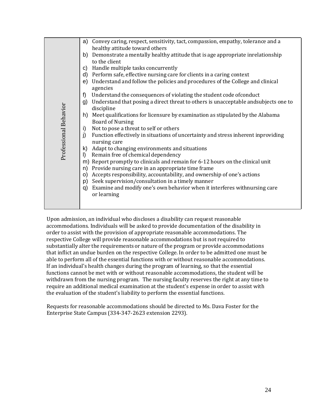|                       | Convey caring, respect, sensitivity, tact, compassion, empathy, tolerance and a<br>a)<br>healthy attitude toward others |
|-----------------------|-------------------------------------------------------------------------------------------------------------------------|
|                       | Demonstrate a mentally healthy attitude that is age appropriate inrelationship<br>b)                                    |
|                       | to the client                                                                                                           |
|                       | Handle multiple tasks concurrently<br>C)                                                                                |
|                       | Perform safe, effective nursing care for clients in a caring context<br>d)                                              |
|                       | Understand and follow the policies and procedures of the College and clinical<br>e)<br>agencies                         |
|                       | f<br>Understand the consequences of violating the student code of conduct                                               |
|                       | Understand that posing a direct threat to others is unacceptable and subjects one to<br>g)                              |
|                       | discipline                                                                                                              |
| Professional Behavior | Meet qualifications for licensure by examination as stipulated by the Alabama<br>h)<br><b>Board of Nursing</b>          |
|                       | Not to pose a threat to self or others<br>i)                                                                            |
|                       | Function effectively in situations of uncertainty and stress inherent inproviding<br>j)<br>nursing care                 |
|                       | Adapt to changing environments and situations<br>k)                                                                     |
|                       | Remain free of chemical dependency<br>$\vert$                                                                           |
|                       | Report promptly to clinicals and remain for 6-12 hours on the clinical unit<br>m)                                       |
|                       | Provide nursing care in an appropriate time frame<br>n)                                                                 |
|                       | Accepts responsibility, accountability, and ownership of one's actions<br>O)                                            |
|                       | Seek supervision/consultation in a timely manner<br>p)                                                                  |
|                       | Examine and modify one's own behavior when it interferes withnursing care<br>q)                                         |
|                       | or learning                                                                                                             |
|                       |                                                                                                                         |
|                       |                                                                                                                         |

Upon admission, an individual who discloses a disability can request reasonable accommodations. Individuals will be asked to provide documentation of the disability in order to assist with the provision of appropriate reasonable accommodations. The respective College will provide reasonable accommodations but is not required to substantially alter the requirements or nature of the program or provide accommodations that inflict an undue burden on the respective College. In order to be admitted one must be able to perform all of the essential functions with or without reasonable accommodations. If an individual's health changes during the program of learning, so that the essential functions cannot be met with or without reasonable accommodations, the student will be withdrawn from the nursing program. The nursing faculty reserves the right at any time to require an additional medical examination at the student's expense in order to assist with the evaluation of the student's liability to perform the essential functions.

Requests for reasonable accommodations should be directed to Ms. Dava Foster for the Enterprise State Campus (334-347-2623 extension 2293).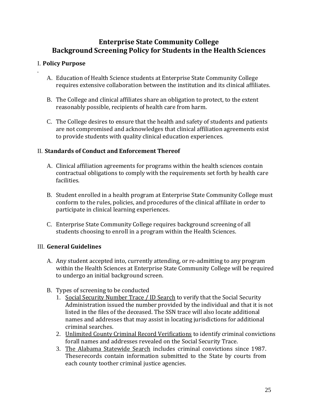#### **Enterprise State Community College Background Screening Policy for Students in the Health Sciences**

#### I. **Policy Purpose**

.

- A. Education of Health Science students at Enterprise State Community College requires extensive collaboration between the institution and its clinical affiliates.
- B. The College and clinical affiliates share an obligation to protect, to the extent reasonably possible, recipients of health care from harm.
- C. The College desires to ensure that the health and safety of students and patients are not compromised and acknowledges that clinical affiliation agreements exist to provide students with quality clinical education experiences.

#### II. **Standards of Conduct and Enforcement Thereof**

- A. Clinical affiliation agreements for programs within the health sciences contain contractual obligations to comply with the requirements set forth by health care facilities.
- B. Student enrolled in a health program at Enterprise State Community College must conform to the rules, policies, and procedures of the clinical affiliate in order to participate in clinical learning experiences.
- C. Enterprise State Community College requires background screening of all students choosing to enroll in a program within the Health Sciences.

#### III. **General Guidelines**

- A. Any student accepted into, currently attending, or re-admitting to any program within the Health Sciences at Enterprise State Community College will be required to undergo an initial background screen.
- B. Types of screening to be conducted
	- 1. Social Security Number Trace / ID Search to verify that the Social Security Administration issued the number provided by the individual and that it is not listed in the files of the deceased. The SSN trace will also locate additional names and addresses that may assist in locating jurisdictions for additional criminal searches.
	- 2. Unlimited County Criminal Record Verifications to identify criminal convictions forall names and addresses revealed on the Social Security Trace.
	- 3. The Alabama Statewide Search includes criminal convictions since 1987. Theserecords contain information submitted to the State by courts from each county toother criminal justice agencies.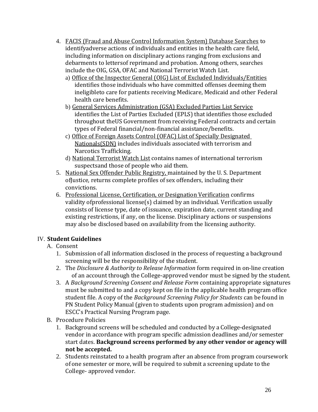- 4. FACIS (Fraud and Abuse Control Information System) Database Searches to identifyadverse actions of individuals and entities in the health care field, including information on disciplinary actions ranging from exclusions and debarments to lettersof reprimand and probation. Among others, searches include the OIG, GSA, OFAC and National Terrorist Watch List.
	- a) Office of the Inspector General (OIG) List of Excluded Individuals/Entities identifies those individuals who have committed offenses deeming them ineligibleto care for patients receiving Medicare, Medicaid and other Federal health care benefits.
	- b) General Services Administration (GSA) Excluded Parties List Service identifies the List of Parties Excluded (EPLS) that identifies those excluded throughout theUS Government from receiving Federal contracts and certain types of Federal financial/non-financial assistance/benefits.
	- c) Office of Foreign Assets Control (OFAC) List of Specially Designated Nationals(SDN) includes individuals associated with terrorism and Narcotics Trafficking.
	- d) National Terrorist Watch List contains names of international terrorism suspectsand those of people who aid them.
- 5. National Sex Offender Public Registry, maintained by the U. S. Department ofJustice, returns complete profiles of sex offenders, including their convictions.
- 6. Professional License, Certification, or Designation Verification confirms validity ofprofessional license(s) claimed by an individual. Verification usually consists of license type, date of issuance, expiration date, current standing and existing restrictions, if any, on the license. Disciplinary actions or suspensions may also be disclosed based on availability from the licensing authority.

#### IV. **Student Guidelines**

#### A. Consent

- 1. Submission of all information disclosed in the process of requesting a background screening will be the responsibility of the student.
- 2. The *Disclosure & Authority to Release Information* form required in on-line creation of an account through the College-approved vendor must be signed by the student.
- 3. A *Background Screening Consent and Release Form* containing appropriate signatures must be submitted to and a copy kept on file in the applicable health program office student file. A copy of the *Background Screening Policy for Students* can be found in PN Student Policy Manual (given to students upon program admission) and on ESCC's Practical Nursing Program page.
- B. Procedure Policies
	- 1. Background screens will be scheduled and conducted by a College-designated vendor in accordance with program specific admission deadlines and/or semester start dates. **Background screens performed by any other vendor or agency will not be accepted.**
	- 2. Students reinstated to a health program after an absence from program coursework of one semester or more, will be required to submit a screening update to the College- approved vendor.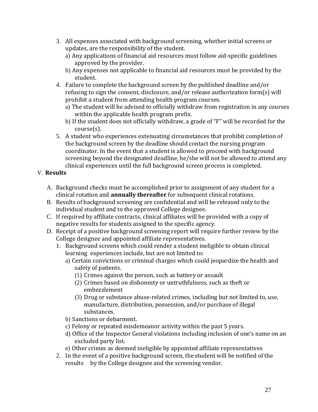- 3. All expenses associated with background screening, whether initial screens or updates, are the responsibility of the student.
	- a) Any applications of financial aid resources must follow aid-specific guidelines approved by the provider.
	- b) Any expenses not applicable to financial aid resources must be provided by the student.
- 4. Failure to complete the background screen by the published deadline and/or refusing to sign the consent, disclosure, and/or release authorization form(s) will prohibit a student from attending health program courses.
	- a) The student will be advised to officially withdraw from registration in any courses within the applicable health program prefix.
	- b) If the student does not officially withdraw, a grade of "F" will be recorded for the course(s).
- 5. A student who experiences extenuating circumstances that prohibit completion of the background screen by the deadline should contact the nursing program coordinator. In the event that a student is allowed to proceed with background screening beyond the designated deadline, he/she will not be allowed to attend any clinical experiences until the full background screen process is completed.

#### V. **Results**

- A. Background checks must be accomplished prior to assignment of any student for a clinical rotation and **annually thereafter** for subsequent clinical rotations.
- B. Results of background screening are confidential and will be released only to the individual student and to the approved College designee.
- C. If required by affiliate contracts, clinical affiliates will be provided with a copy of negative results for students assigned to the specific agency.
- D. Receipt of a positive background screening report will require further review by the College designee and appointed affiliate representatives.
	- 1. Background screens which could render a student ineligible to obtain clinical learning experiences include, but are not limited to:
		- a) Certain convictions or criminal charges which could jeopardize the health and safety of patients.
			- (1) Crimes against the person, such as battery or assault
			- (2) Crimes based on dishonesty or untruthfulness, such as theft or embezzlement
			- (3) Drug or substance abuse-related crimes, including but not limited to, use, manufacture, distribution, possession, and/or purchase of illegal substances.
		- b) Sanctions or debarment.
		- c) Felony or repeated misdemeanor activity within the past 5 years.
		- d) Office of the Inspector General violations including inclusion of one's name on an excluded party list.
		- e) Other crimes as deemed ineligible by appointed affiliate representatives
	- 2. In the event of a positive background screen, the student will be notified of the results by the College designee and the screening vendor.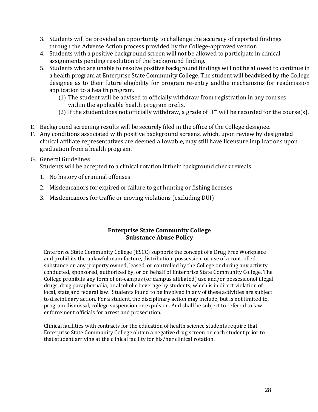- 3. Students will be provided an opportunity to challenge the accuracy of reported findings through the Adverse Action process provided by the College-approved vendor.
- 4. Students with a positive background screen will not be allowed to participate in clinical assignments pending resolution of the background finding.
- 5. Students who are unable to resolve positive background findings will not be allowed to continue in a health program at Enterprise State Community College. The student will beadvised by the College designee as to their future eligibility for program re-entry andthe mechanisms for readmission application to a health program.
	- (1) The student will be advised to officially withdraw from registration in any courses within the applicable health program prefix.
	- (2) If the student does not officially withdraw, a grade of "F" will be recorded for the course(s).
- E. Background screening results will be securely filed in the office of the College designee.
- F. Any conditions associated with positive background screens, which, upon review by designated clinical affiliate representatives are deemed allowable, may still have licensure implications upon graduation from a health program.

#### G. General Guidelines

Students will be accepted to a clinical rotation if their background check reveals:

- 1. No history of criminal offenses
- 2. Misdemeanors for expired or failure to get hunting or fishing licenses
- 3. Misdemeanors for traffic or moving violations (excluding DUI)

#### **Enterprise State Community College Substance Abuse Policy**

Enterprise State Community College (ESCC) supports the concept of a Drug Free Workplace and prohibits the unlawful manufacture, distribution, possession, or use of a controlled substance on any property owned, leased, or controlled by the College or during any activity conducted, sponsored, authorized by, or on behalf of Enterprise State Community College. The College prohibits any form of on-campus (or campus affiliated) use and/or possessionof illegal drugs, drug paraphernalia, or alcoholic beverage by students, which is in direct violation of local, state,and federal law. Students found to be involved in any of these activities are subject to disciplinary action. For a student, the disciplinary action may include, but is not limited to, program dismissal, college suspension or expulsion. And shall be subject to referral to law enforcement officials for arrest and prosecution.

Clinical facilities with contracts for the education of health science students require that Enterprise State Community College obtain a negative drug screen on each student prior to that student arriving at the clinical facility for his/her clinical rotation.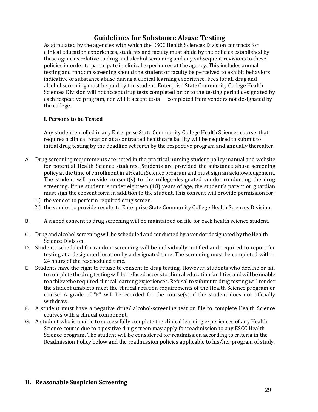#### **Guidelines for Substance Abuse Testing**

As stipulated by the agencies with which the ESCC Health Sciences Division contracts for clinical education experiences, students and faculty must abide by the policies established by these agencies relative to drug and alcohol screening and any subsequent revisions to these policies in order to participate in clinical experiences at the agency. This includes annual testing and random screening should the student or faculty be perceived to exhibit behaviors indicative of substance abuse during a clinical learning experience. Fees for all drug and alcohol screening must be paid by the student. Enterprise State Community College Health Sciences Division will not accept drug tests completed prior to the testing period designated by each respective program, nor will it accept tests completed from vendors not designated by the college.

#### **I. Persons to be Tested**

Any student enrolled in any Enterprise State Community College Health Sciences course that requires a clinical rotation at a contracted healthcare facility will be required to submit to initial drug testing by the deadline set forth by the respective program and annually thereafter.

- A. Drug screening requirements are noted in the practical nursing student policy manual and website for potential Health Science students. Students are provided the substance abuse screening policy atthe time of enrollment in aHealth Science program and must sign an acknowledgement. The student will provide consent(s) to the college-designated vendor conducting the drug screening. If the student is under eighteen (18) years of age, the student's parent or guardian must sign the consent form in addition to the student. This consent will provide permission for:
	- 1.) the vendor to perform required drug screen,
	- 2.) the vendor to provide results to Enterprise State Community College Health Sciences Division.
- B. A signed consent to drug screening will be maintained on file for each health science student.
- C. Drug and alcohol screening will be scheduled and conducted by a vendor designated by the Health Science Division.
- D. Students scheduled for random screening will be individually notified and required to report for testing at a designated location by a designated time. The screening must be completed within 24 hours of the rescheduled time.
- E. Students have the right to refuse to consent to drug testing. However, students who decline or fail to complete the drug testing will be refused access to clinical education facilities and will be unable toachievethe required clinical learning experiences. Refusal to submit to drug testing will render the student unableto meet the clinical rotation requirements of the Health Science program or course. A grade of "F" will be recorded for the course(s) if the student does not officially withdraw.
- F. A student must have a negative drug/ alcohol-screening test on file to complete Health Science courses with a clinical component.
- G. A student who is unable to successfully complete the clinical learning experiences of any Health Science course due to a positive drug screen may apply for readmission to any ESCC Health Science program. The student will be considered for readmission according to criteria in the Readmission Policy below and the readmission policies applicable to his/her program of study.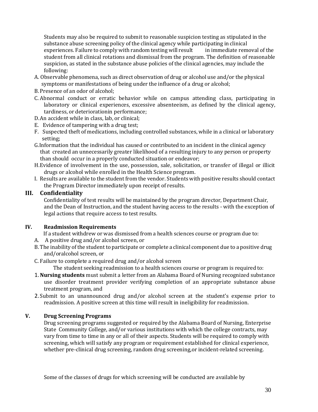Students may also be required to submit to reasonable suspicion testing as stipulated in the substance abuse screening policy of the clinical agency while participating in clinical experiences. Failure to comply with random testing will result in immediate removal of the student from all clinical rotations and dismissal from the program. The definition of reasonable suspicion, as stated in the substance abuse policies of the clinical agencies, may include the following:

- A. Observable phenomena, such as direct observation of drug or alcohol use and/or the physical symptoms or manifestations of being under the influence of a drug or alcohol;
- B.Presence of an odor of alcohol;
- C. Abnormal conduct or erratic behavior while on campus attending class, participating in laboratory or clinical experiences, excessive absenteeism, as defined by the clinical agency, tardiness, or deteriorationin performance;
- D.An accident while in class, lab, or clinical;
- E. Evidence of tampering with a drug test;
- F. Suspected theft of medications, including controlled substances, while in a clinical or laboratory setting;
- G.Information that the individual has caused or contributed to an incident in the clinical agency that created an unnecessarily greater likelihood of a resulting injury to any person or property than should occur in a properly conducted situation or endeavor;
- H.Evidence of involvement in the use, possession, sale, solicitation, or transfer of illegal or illicit drugs or alcohol while enrolled in the Health Science program.
- I. Results are available to the student from the vendor. Students with positive results should contact the Program Director immediately upon receipt of results.

#### **III. Confidentiality**

Confidentiality of test results will be maintained by the program director, Department Chair, and the Dean of Instruction, and the student having access to the results - with the exception of legal actions that require access to test results.

#### **IV. Readmission Requirements**

If a student withdrew or was dismissed from a health sciences course or program due to:

- A. A positive drug and/or alcohol screen, or
- B.The inability of the student to participate or complete a clinical component due to a positive drug and/oralcohol screen, or
- C. Failure to complete a required drug and/or alcohol screen

The student seeking readmission to a health sciences course or program is required to:

- 1.**Nursing students** must submit a letter from an Alabama Board of Nursing recognized substance use disorder treatment provider verifying completion of an appropriate substance abuse treatment program, and
- 2. Submit to an unannounced drug and/or alcohol screen at the student's expense prior to readmission. A positive screen at this time will result in ineligibility for readmission.

#### **V. Drug Screening Programs**

Drug screening programs suggested or required by the Alabama Board of Nursing, Enterprise State Community College, and/or various institutions with which the college contracts, may vary from time to time in any or all of their aspects. Students will be required to comply with screening, which will satisfy any program or requirement established for clinical experience, whether pre-clinical drug screening, random drug screening,or incident-related screening.

Some of the classes of drugs for which screening will be conducted are available by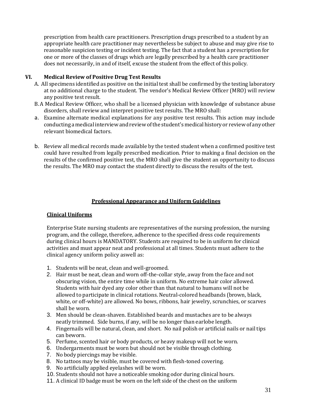prescription from health care practitioners. Prescription drugs prescribed to a student by an appropriate health care practitioner may nevertheless be subject to abuse and may give rise to reasonable suspicion testing or incident testing. The fact that a student has a prescription for one or more of the classes of drugs which are legally prescribed by a health care practitioner does not necessarily, in and of itself, excuse the student from the effect of this policy.

#### **VI. Medical Review of Positive Drug Test Results**

- A. All specimens identified as positive on the initial test shall be confirmed by the testing laboratory at no additional charge to the student. The vendor's Medical Review Officer (MRO) will review any positive test result.
- B.A Medical Review Officer, who shall be a licensed physician with knowledge of substance abuse disorders, shall review and interpret positive test results. The MRO shall:
- a. Examine alternate medical explanations for any positive test results. This action may include conducting amedical interviewandreviewofthe student's medical history or reviewof any other relevant biomedical factors.
- b. Review all medical records made available by the tested student when a confirmed positive test could have resulted from legally prescribed medication. Prior to making a final decision on the results of the confirmed positive test, the MRO shall give the student an opportunity to discuss the results. The MRO may contact the student directly to discuss the results of the test.

#### **Professional Appearance and Uniform Guidelines**

#### **Clinical Uniforms**

Enterprise State nursing students are representatives of the nursing profession, the nursing program, and the college, therefore, adherence to the specified dress code requirements during clinical hours is MANDATORY. Students are required to be in uniform for clinical activities and must appear neat and professional at all times. Students must adhere to the clinical agency uniform policy aswell as:

- 1. Students will be neat, clean and well-groomed.
- 2. Hair must be neat, clean and worn off-the-collar style, away from the face and not obscuring vision, the entire time while in uniform. No extreme hair color allowed. Students with hair dyed any color other than that natural to humans will not be allowed to participate in clinical rotations. Neutral-colored headbands (brown, black, white, or off-white) are allowed. No bows, ribbons, hair jewelry, scrunchies, or scarves shall be worn.
- 3. Men should be clean-shaven. Established beards and mustaches are to be always neatly trimmed. Side burns, if any, will be no longer than earlobe length.
- 4. Fingernails will be natural, clean, and short. No nail polish or artificial nails or nail tips can beworn.
- 5. Perfume, scented hair or body products, or heavy makeup will not be worn.
- 6. Undergarments must be worn but should not be visible through clothing.
- 7. No body piercings may be visible.
- 8. No tattoos may be visible, must be covered with flesh-toned covering.
- 9. No artificially applied eyelashes will be worn.
- 10. Students should not have a noticeable smoking odor during clinical hours.
- 11. A clinical ID badge must be worn on the left side of the chest on the uniform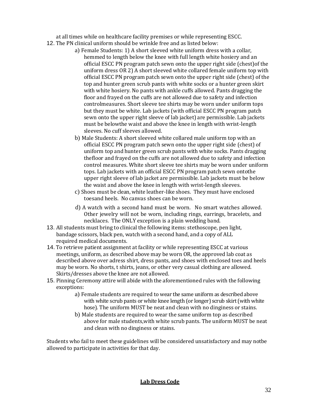at all times while on healthcare facility premises or while representing ESCC.

- 12. The PN clinical uniform should be wrinkle free and as listed below:
	- a) Female Students: 1) A short sleeved white uniform dress with a collar, hemmed to length below the knee with full length white hosiery and an official ESCC PN program patch sewn onto the upper right side (chest)of the uniform dress OR 2) A short sleeved white collared female uniform top with official ESCC PN program patch sewn onto the upper right side (chest) of the top and hunter green scrub pants with white socks or a hunter green skirt with white hosiery. No pants with ankle cuffs allowed. Pants dragging the floor and frayed on the cuffs are not allowed due to safety and infection controlmeasures. Short sleeve tee shirts may be worn under uniform tops but they must be white. Lab jackets (with official ESCC PN program patch sewn onto the upper right sleeve of lab jacket) are permissible. Lab jackets must be belowthe waist and above the knee in length with wrist-length sleeves. No cuff sleeves allowed.
	- b) Male Students: A short sleeved white collared male uniform top with an official ESCC PN program patch sewn onto the upper right side (chest) of uniform top and hunter green scrub pants with white socks. Pants dragging thefloor and frayed on the cuffs are not allowed due to safety and infection control measures. White short sleeve tee shirts may be worn under uniform tops. Lab jackets with an official ESCC PN program patch sewn ontothe upper right sleeve of lab jacket are permissible. Lab jackets must be below the waist and above the knee in length with wrist-length sleeves.
	- c) Shoes must be clean, white leather-like shoes. They must have enclosed toesand heels. No canvas shoes can be worn.
	- d) A watch with a second hand must be worn. No smart watches allowed. Other jewelry will not be worn, including rings, earrings, bracelets, and necklaces. The ONLY exception is a plain wedding band.
- 13. All students must bring to clinical the following items: stethoscope, pen light, bandage scissors, black pen, watch with a second hand, and a copy of ALL required medical documents.
- 14. To retrieve patient assignment at facility or while representing ESCC at various meetings, uniform, as described above may be worn OR, the approved lab coat as described above over adress shirt, dress pants, and shoes with enclosed toes and heels may be worn. No shorts, t shirts, jeans, or other very casual clothing are allowed. Skirts/dresses above the knee are not allowed.
- 15. Pinning Ceremony attire will abide with the aforementioned rules with the following exceptions:
	- a) Female students are required to wear the same uniform as described above with white scrub pants or white knee length (or longer) scrub skirt (with white hose). The uniform MUST be neat and clean with no dinginess or stains.
	- b) Male students are required to wear the same uniform top as described above for male students,with white scrub pants. The uniform MUST be neat and clean with no dinginess or stains.

Students who fail to meet these guidelines will be considered unsatisfactory and may notbe allowed to participate in activities for that day.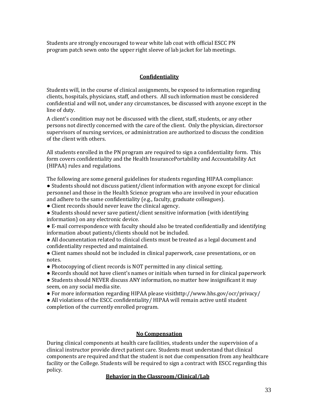Students are strongly encouraged to wear white lab coat with official ESCC PN program patch sewn onto the upper right sleeve of lab jacket for lab meetings.

#### **Confidentiality**

Students will, in the course of clinical assignments, be exposed to information regarding clients, hospitals, physicians, staff, and others. All such information must be considered confidential and will not, under any circumstances, be discussed with anyone except in the line of duty.

A client's condition may not be discussed with the client, staff, students, or any other persons not directly concerned with the care of the client. Only the physician, directorsor supervisors of nursing services, or administration are authorized to discuss the condition of the client with others.

All students enrolled in the PN program are required to sign a confidentiality form. This form covers confidentiality and the Health InsurancePortability and Accountability Act (HIPAA) rules and regulations.

The following are some general guidelines for students regarding HIPAA compliance: ● Students should not discuss patient/client information with anyone except for clinical personnel and those in the Health Science program who are involved in your education and adhere to the same confidentiality (e.g., faculty, graduate colleagues).

• Client records should never leave the clinical agency.

● Students should never save patient/client sensitive information (with identifying information) on any electronic device.

● E-mail correspondence with faculty should also be treated confidentially and identifying information about patients/clients should not be included.

● All documentation related to clinical clients must be treated as a legal document and confidentiality respected and maintained.

● Client names should not be included in clinical paperwork, case presentations, or on notes.

- Photocopying of client records is NOT permitted in any clinical setting.
- Records should not have client's names or initials when turned in for clinical paperwork
- Students should NEVER discuss ANY information, no matter how insignificant it may seem, on any social media site.
- For more information regarding HIPAA please visithttp://www.hhs.gov/ocr/privacy/

• All violations of the ESCC confidentiality/ HIPAA will remain active until student completion of the currently enrolled program.

#### **No Compensation**

During clinical components at health care facilities, students under the supervision of a clinical instructor provide direct patient care. Students must understand that clinical components are required and that the student is not due compensation from any healthcare facility or the College. Students will be required to sign a contract with ESCC regarding this policy.

#### **Behavior in the Classroom/Clinical/Lab**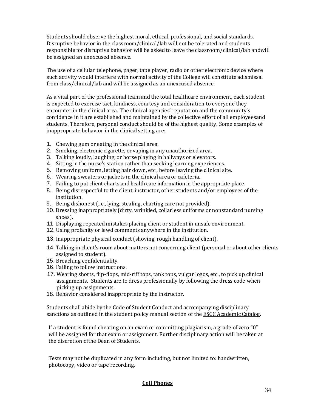Students should observe the highest moral, ethical, professional, and social standards. Disruptive behavior in the classroom/clinical/lab will not be tolerated and students responsible for disruptive behavior will be asked to leave the classroom/clinical/lab andwill be assigned an unexcused absence.

The use of a cellular telephone, pager, tape player, radio or other electronic device where such activity would interfere with normal activity of the College will constitute adismissal from class/clinical/lab and will be assigned as an unexcused absence.

As a vital part of the professional team and the total healthcare environment, each student is expected to exercise tact, kindness, courtesy and consideration to everyone they encounter in the clinical area. The clinical agencies' reputation and the community's confidence in it are established and maintained by the collective effort of all employeesand students. Therefore, personal conduct should be of the highest quality. Some examples of inappropriate behavior in the clinical setting are:

- 1. Chewing gum or eating in the clinical area.
- 2. Smoking, electronic cigarette, or vaping in any unauthorized area.
- 3. Talking loudly, laughing, or horse playing in hallways or elevators.
- 4. Sitting in the nurse's station rather than seeking learning experiences.
- 5. Removing uniform, letting hair down, etc., before leaving the clinical site.
- 6. Wearing sweaters or jackets in the clinical area or cafeteria.
- 7. Failing to put client charts and health care information in the appropriate place.
- 8. Being disrespectful to the client, instructor, other students and/or employees of the institution.
- 9. Being dishonest (i.e., lying, stealing, charting care not provided).
- 10. Dressing inappropriately (dirty, wrinkled, collarless uniforms or nonstandard nursing shoes).
- 11. Displaying repeated mistakes placing client or student in unsafe environment.
- 12. Using profanity or lewd comments anywhere in the institution.
- 13. Inappropriate physical conduct (shoving, rough handling of client).
- 14. Talking in client's room about matters not concerning client (personal or about other clients assigned to student).
- 15. Breaching confidentiality.
- 16. Failing to follow instructions.
- 17. Wearing shorts, flip-flops, mid-riff tops, tank tops, vulgar logos, etc., to pick up clinical assignments. Students are to dress professionally by following the dress code when picking up assignments.
- 18. Behavior considered inappropriate by the instructor.

Students shall abide by the Code of Student Conduct and accompanying disciplinary sanctions as outlined in the student policy manual section of the ESCC Academic Catalog.

If a student is found cheating on an exam or committing plagiarism, a grade of zero "0" will be assigned for that exam or assignment. Further disciplinary action will be taken at the discretion ofthe Dean of Students.

Tests may not be duplicated in any form including, but not limited to: handwritten, photocopy, video or tape recording.

#### **Cell Phones**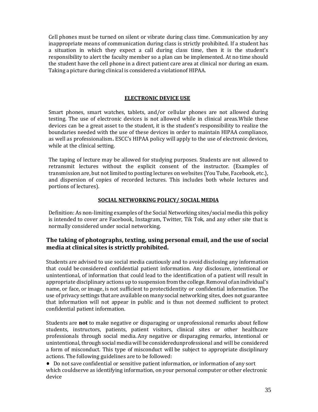Cell phones must be turned on silent or vibrate during class time. Communication by any inappropriate means of communication during class is strictly prohibited. If a student has a situation in which they expect a call during class time, then it is the student's responsibility to alert the faculty member so a plan can be implemented. At no time should the student have the cell phone in a direct patient care area at clinical nor during an exam. Taking a picture during clinical is considered a violationof HIPAA.

#### **ELECTRONIC DEVICE USE**

Smart phones, smart watches, tablets, and/or cellular phones are not allowed during testing. The use of electronic devices is not allowed while in clinical areas.While these devices can be a great asset to the student, it is the student's responsibility to realize the boundaries needed with the use of these devices in order to maintain HIPAA compliance, as well as professionalism**.** ESCC's HIPAA policy will apply to the use of electronic devices, while at the clinical setting.

The taping of lecture may be allowed for studying purposes. Students are not allowed to retransmit lectures without the explicit consent of the instructor. (Examples of transmission are, but not limited to posting lectures on websites {You Tube, Facebook, etc.}, and dispersion of copies of recorded lectures. This includes both whole lectures and portions of lectures).

#### **SOCIAL NETWORKING POLICY/ SOCIAL MEDIA**

Definition: As non-limiting examples of the Social Networking sites/social media this policy is intended to cover are Facebook, Instagram, Twitter, Tik Tok, and any other site that is normally considered under social networking.

#### **The taking of photographs, texting, using personal email, and the use of social media at clinical sites is strictly prohibited.**

Students are advised to use social media cautiously and to avoid disclosing any information that could beconsidered confidential patient information. Any disclosure, intentional or unintentional, of information that could lead to the identification of a patient will result in appropriate disciplinary actions up to suspension fromthe college.Removal ofanindividual's name, or face, or image, is not sufficient to protectidentity or confidential information. The use of privacy settings that are available on many social networking sites, does not guarantee that information will not appear in public and is thus not deemed sufficient to protect confidential patient information.

Students are **not** to make negative or disparaging or unprofessional remarks about fellow students, instructors, patients, patient visitors, clinical sites or other healthcare professionals through social media. Any negative or disparaging remarks, intentional or unintentional,through social mediawill be consideredunprofessional and will be considered a form of misconduct. This type of misconduct will be subject to appropriate disciplinary actions. The following guidelines are to be followed:

● Do not save confidential or sensitive patient information, or information of any sort which couldserve as identifying information, on your personal computer or other electronic device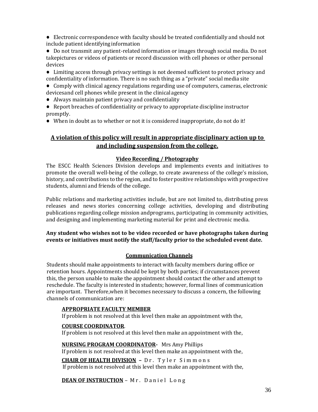● Electronic correspondence with faculty should be treated confidentially and should not include patient identifyinginformation

● Do not transmit any patient-related information or images through social media. Do not takepictures or videos of patients or record discussion with cell phones or other personal devices

● Limiting access through privacy settings is not deemed sufficient to protect privacy and confidentiality of information. There is no such thing as a "private" social media site

● Comply with clinical agency regulations regarding use of computers, cameras, electronic devicesand cell phones while present in the clinicalagency

● Always maintain patient privacy and confidentiality

● Report breaches of confidentiality or privacy to appropriate discipline instructor promptly.

● When in doubt as to whether or not it is considered inappropriate, do not do it!

#### **A violation of this policy will result in appropriate disciplinary action up to and including suspension from the college.**

#### **Video Recording / Photography**

The ESCC Health Sciences Division develops and implements events and initiatives to promote the overall well-being of the college, to create awareness of the college's mission, history, and contributions to the region, and to foster positive relationships with prospective students, alumni and friends of the college.

Public relations and marketing activities include, but are not limited to, distributing press releases and news stories concerning college activities, developing and distributing publications regarding college mission andprograms, participating in community activities, and designing and implementing marketing material for print and electronic media.

#### **Any student who wishes not to be video recorded or have photographs taken during events or initiatives must notify the staff/faculty prior to the scheduled event date.**

#### **Communication Channels**

Students should make appointments to interact with faculty members during office or retention hours. Appointments should be kept by both parties; if circumstances prevent this, the person unable to make the appointment should contact the other and attempt to reschedule. The faculty is interested in students; however, formal lines of communication are important. Therefore,when it becomes necessary to discuss a concern, the following channels of communication are:

#### **APPROPRIATE FACULTY MEMBER**

If problem is not resolved at this level then make an appointment with the,

#### **COURSE COORDINATOR**.

If problem is not resolved at this level then make an appointment with the,

#### **NURSING PROGRAM COORDINATOR-** Mrs Amy Phillips

If problem is not resolved at this level then make an appointment with the,

**CHAIR OF HEALTH DIVISION –** D r . T y l e r S i m m o n s If problem is not resolved at this level then make an appointment with the,

**DEAN OF INSTRUCTION** - Mr. Daniel Long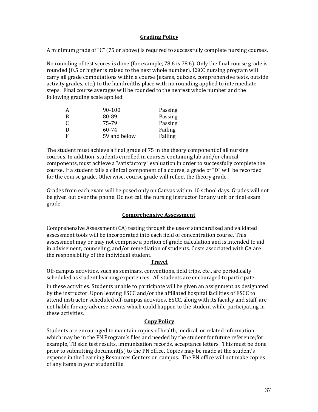#### **Grading Policy**

A minimum grade of "C" (75 or above) is required to successfully complete nursing courses.

No rounding of test scores is done (for example, 78.6 is 78.6). Only the final course grade is rounded (0.5 or higher is raised to the next whole number). ESCC nursing program will carry all grade computations within a course (exams, quizzes, comprehensive tests, outside activity grades, etc.) to the hundredths place with no rounding applied to intermediate steps. Final course averages will be rounded to the nearest whole number and the following grading scale applied:

| А | 90-100       | Passing |
|---|--------------|---------|
| B | 80-89        | Passing |
| C | 75-79        | Passing |
| D | 60-74        | Failing |
| F | 59 and below | Failing |

The student must achieve a final grade of 75 in the theory component of all nursing courses. In addition, students enrolled in courses containing lab and/or clinical components, must achieve a "satisfactory" evaluation in order to successfully complete the course. If a student fails a clinical component of a course, a grade of "D" will be recorded for the course grade. Otherwise, course grade will reflect the theory grade.

Grades from each exam will be posed only on Canvas within 10 school days. Grades will not be given out over the phone. Do not call the nursing instructor for any unit or final exam grade.

#### **Comprehensive Assessment**

Comprehensive Assessment (CA) testing through the use of standardized and validated assessment tools will be incorporated into each field of concentration course. This assessment may or may not comprise a portion of grade calculation and is intended to aid in advisement, counseling, and/or remediation of students. Costs associated with CA are the responsibility of the individual student.

#### **Travel**

Off-campus activities, such as seminars, conventions, field trips, etc., are periodically scheduled as student learning experiences. All students are encouraged to participate

in these activities. Students unable to participate will be given an assignment as designated by the instructor. Upon leaving ESCC and/or the affiliated hospital facilities of ESCC to attend instructor scheduled off-campus activities, ESCC, along with its faculty and staff, are not liable for any adverse events which could happen to the student while participating in these activities.

#### **Copy Policy**

Students are encouraged to maintain copies of health, medical, or related information which may be in the PN Program's files and needed by the student for future reference;for example, TB skin test results, immunization records, acceptance letters. This must be done prior to submitting document(s) to the PN office. Copies may be made at the student's expense in the Learning Resources Centers on campus. The PN office will not make copies of any items in your student file.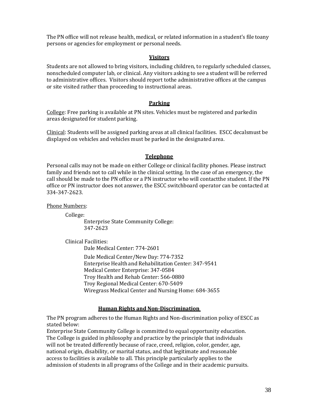The PN office will not release health, medical, or related information in a student's file toany persons or agencies for employment or personal needs.

#### **Visitors**

Students are not allowed to bring visitors, including children, to regularly scheduled classes, nonscheduled computer lab, or clinical. Any visitors asking to see a student will be referred to administrative offices. Visitors should report tothe administrative offices at the campus or site visited rather than proceeding to instructional areas.

#### **Parking**

College: Free parking is available at PN sites. Vehicles must be registered and parkedin areas designated for student parking.

Clinical: Students will be assigned parking areas at all clinical facilities. ESCC decalsmust be displayed on vehicles and vehicles must be parked in the designated area.

#### **Telephone**

Personal calls may not be made on either College or clinical facility phones. Please instruct family and friends not to call while in the clinical setting. In the case of an emergency, the call should be made to the PN office or a PN instructor who will contactthe student. If the PN office or PN instructor does not answer, the ESCC switchboard operator can be contacted at 334-347-2623.

Phone Numbers:

College:

Enterprise State Community College: 347-2623

Clinical Facilities:

Dale Medical Center: 774-2601 Dale Medical Center/New Day: 774-7352 Enterprise Health and Rehabilitation Center: 347-9541 Medical Center Enterprise: 347-0584 Troy Health and Rehab Center: 566-0880 Troy Regional Medical Center: 670-5409

Wiregrass Medical Center and Nursing Home: 684-3655

#### **Human Rights and Non-Discrimination**

The PN program adheres to the Human Rights and Non-discrimination policy of ESCC as stated below:

Enterprise State Community College is committed to equal opportunity education. The College is guided in philosophy and practice by the principle that individuals will not be treated differently because of race, creed, religion, color, gender, age, national origin, disability, or marital status, and that legitimate and reasonable access to facilities is available to all. This principle particularly applies to the admission of students in all programs of the College and in their academic pursuits.